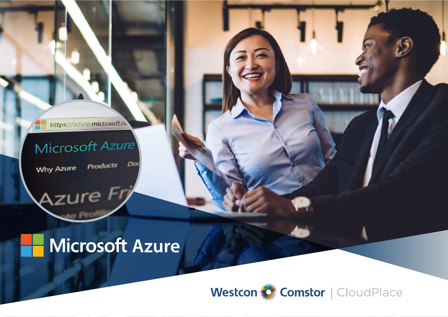https://azure.microsoft.co

# Microsoft Azure

Azure FI

**Why Azure** 

Products Do

# **Microsoft Azure**

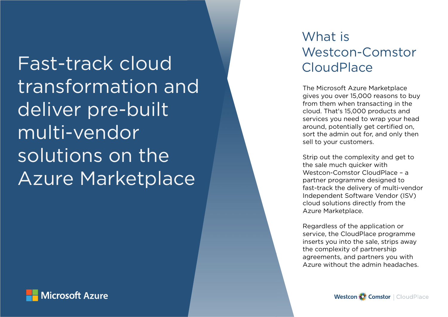Fast-track cloud transformation and deliver pre-built multi-vendor solutions on the Azure Marketplace

# What is Westcon-Comstor CloudPlace

The Microsoft Azure Marketplace gives you over 15,000 reasons to buy from them when transacting in the cloud. That's 15,000 products and services you need to wrap your head around, potentially get certified on, sort the admin out for, and only then sell to your customers.

Strip out the complexity and get to the sale much quicker with Westcon-Comstor CloudPlace – a partner programme designed to fast-track the delivery of multi-vendor Independent Software Vendor (ISV) cloud solutions directly from the Azure Marketplace.

Regardless of the application or service, the CloudPlace programme inserts you into the sale, strips away the complexity of partnership agreements, and partners you with Azure without the admin headaches.

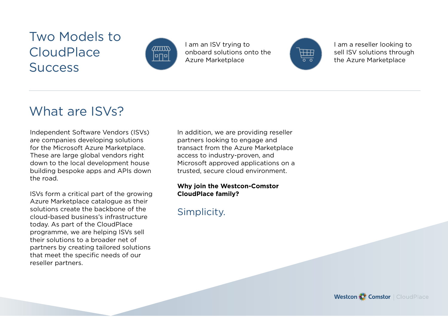# Two Models to CloudPlace **Success**



I am an ISV trying to onboard solutions onto the Azure Marketplace



I am a reseller looking to sell ISV solutions through the Azure Marketplace

### What are ISVs?

Independent Software Vendors (ISVs) are companies developing solutions for the Microsoft Azure Marketplace. These are large global vendors right down to the local development house building bespoke apps and APIs down the road.

ISVs form a critical part of the growing Azure Marketplace catalogue as their solutions create the backbone of the cloud-based business's infrastructure today. As part of the CloudPlace programme, we are helping ISVs sell their solutions to a broader net of partners by creating tailored solutions that meet the specific needs of our reseller partners.

In addition, we are providing reseller partners looking to engage and transact from the Azure Marketplace access to industry-proven, and Microsoft approved applications on a trusted, secure cloud environment.

#### **Why join the Westcon-Comstor CloudPlace family?**

### Simplicity.

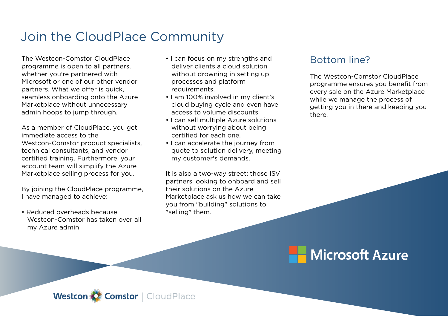### Join the CloudPlace Community

The Westcon-Comstor CloudPlace programme is open to all partners, whether you're partnered with Microsoft or one of our other vendor partners. What we offer is quick. seamless onboarding onto the Azure Marketplace without unnecessary admin hoops to jump through.

As a member of CloudPlace, you get immediate access to the Westcon-Comstor product specialists, technical consultants, and vendor certified training. Furthermore, your account team will simplify the Azure Marketplace selling process for you.

By joining the CloudPlace programme, I have managed to achieve:

• Reduced overheads because Westcon-Comstor has taken over all my Azure admin

- I can focus on my strengths and deliver clients a cloud solution without drowning in setting up processes and platform requirements.
- I am 100% involved in my client's cloud buying cycle and even have access to volume discounts.
- I can sell multiple Azure solutions without worrying about being certified for each one.
- I can accelerate the journey from quote to solution delivery, meeting my customer's demands.

It is also a two-way street; those ISV partners looking to onboard and sell their solutions on the Azure Marketplace ask us how we can take you from "building" solutions to "selling" them.

#### Bottom line?

The Westcon-Comstor CloudPlace programme ensures you benefit from every sale on the Azure Marketplace while we manage the process of getting you in there and keeping you there.

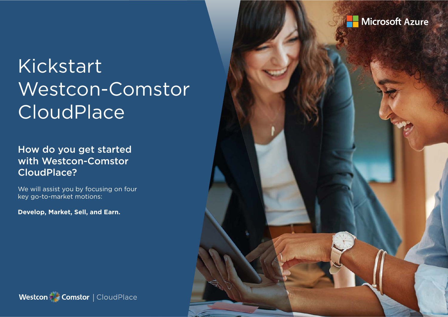

# Kickstart Westcon-Comstor **CloudPlace**

### How do you get started with Westcon-Comstor CloudPlace?

We will assist you by focusing on four key go-to-market motions:

**Develop, Market, Sell, and Earn.** 

Westcon Comstor | CloudPlace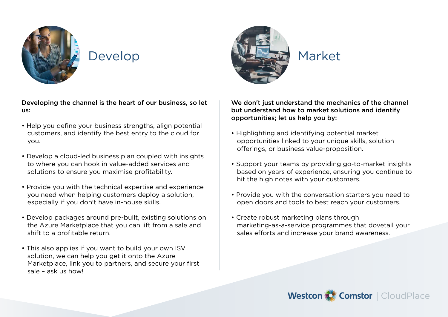

Developing the channel is the heart of our business, so let us:

- Help you define your business strengths, align potential customers, and identify the best entry to the cloud for you.
- Develop a cloud-led business plan coupled with insights to where you can hook in value-added services and solutions to ensure you maximise profitability.
- Provide you with the technical expertise and experience you need when helping customers deploy a solution, especially if you don't have in-house skills.
- Develop packages around pre-built, existing solutions on the Azure Marketplace that you can lift from a sale and shift to a profitable return.
- This also applies if you want to build your own ISV solution, we can help you get it onto the Azure Marketplace, link you to partners, and secure your first sale – ask us how!



We don't just understand the mechanics of the channel but understand how to market solutions and identify opportunities; let us help you by:

- Highlighting and identifying potential market opportunities linked to your unique skills, solution offerings, or business value-proposition.
- Support your teams by providing go-to-market insights based on years of experience, ensuring you continue to hit the high notes with your customers.
- Provide you with the conversation starters you need to open doors and tools to best reach your customers.
- Create robust marketing plans through marketing-as-a-service programmes that dovetail your sales efforts and increase your brand awareness.

Westcon Comstor | CloudPlace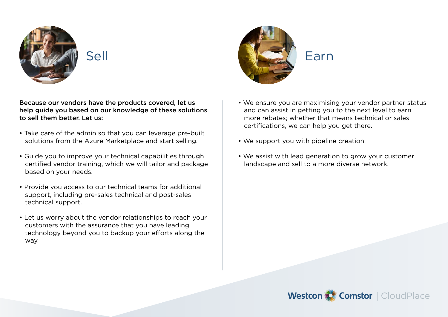

Because our vendors have the products covered, let us help guide you based on our knowledge of these solutions to sell them better. Let us:

- Take care of the admin so that you can leverage pre-built solutions from the Azure Marketplace and start selling.
- Guide you to improve your technical capabilities through certified vendor training, which we will tailor and package based on your needs.
- Provide you access to our technical teams for additional support, including pre-sales technical and post-sales technical support.
- Let us worry about the vendor relationships to reach your customers with the assurance that you have leading technology beyond you to backup your efforts along the way.



- We ensure you are maximising your vendor partner status and can assist in getting you to the next level to earn more rebates; whether that means technical or sales certifications, we can help you get there.
- We support you with pipeline creation.
- We assist with lead generation to grow your customer landscape and sell to a more diverse network.

Westcon C Comstor | CloudPlace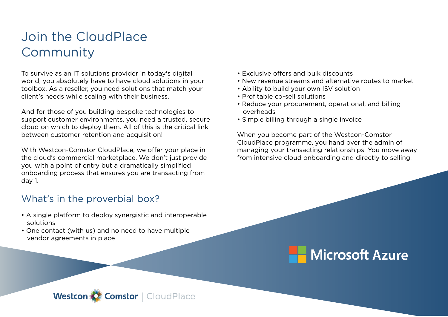# Join the CloudPlace Community

To survive as an IT solutions provider in today's digital world, you absolutely have to have cloud solutions in your toolbox. As a reseller, you need solutions that match your client's needs while scaling with their business.

And for those of you building bespoke technologies to support customer environments, you need a trusted, secure cloud on which to deploy them. All of this is the critical link between customer retention and acquisition!

With Westcon-Comstor CloudPlace, we offer your place in the cloud's commercial marketplace. We don't just provide you with a point of entry but a dramatically simplified onboarding process that ensures you are transacting from day 1.

### What's in the proverbial box?

- A single platform to deploy synergistic and interoperable solutions
- One contact (with us) and no need to have multiple vendor agreements in place
- Exclusive offers and bulk discounts
- New revenue streams and alternative routes to market
- Ability to build your own ISV solution
- Profitable co-sell solutions
- Reduce your procurement, operational, and billing overheads
- Simple billing through a single invoice

When you become part of the Westcon-Comstor CloudPlace programme, you hand over the admin of managing your transacting relationships. You move away from intensive cloud onboarding and directly to selling.



Westcon Comstor | CloudPlace